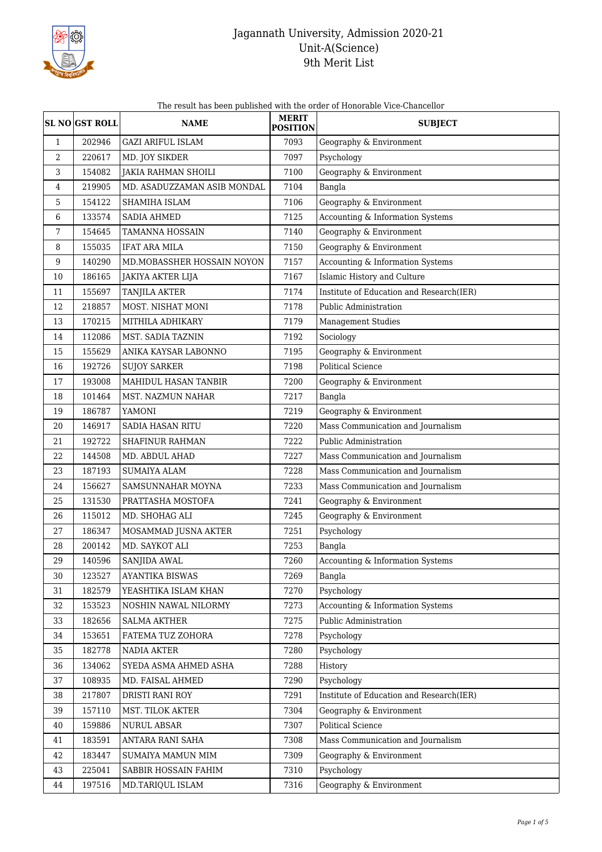

|  | The result has been published with the order of Honorable Vice-Chancellor |
|--|---------------------------------------------------------------------------|
|--|---------------------------------------------------------------------------|

|                  | <b>SL NO GST ROLL</b> | <b>NAME</b>                 | <b>MERIT</b><br><b>POSITION</b> | <b>SUBJECT</b>                           |
|------------------|-----------------------|-----------------------------|---------------------------------|------------------------------------------|
| $\mathbf{1}$     | 202946                | <b>GAZI ARIFUL ISLAM</b>    | 7093                            | Geography & Environment                  |
| $\boldsymbol{2}$ | 220617                | MD. JOY SIKDER              | 7097                            | Psychology                               |
| 3                | 154082                | <b>JAKIA RAHMAN SHOILI</b>  | 7100                            | Geography & Environment                  |
| 4                | 219905                | MD. ASADUZZAMAN ASIB MONDAL | 7104                            | Bangla                                   |
| 5                | 154122                | SHAMIHA ISLAM               | 7106                            | Geography & Environment                  |
| 6                | 133574                | <b>SADIA AHMED</b>          | 7125                            | Accounting & Information Systems         |
| 7                | 154645                | <b>TAMANNA HOSSAIN</b>      | 7140                            | Geography & Environment                  |
| 8                | 155035                | <b>IFAT ARA MILA</b>        | 7150                            | Geography & Environment                  |
| $9\,$            | 140290                | MD.MOBASSHER HOSSAIN NOYON  | 7157                            | Accounting & Information Systems         |
| 10               | 186165                | JAKIYA AKTER LIJA           | 7167                            | Islamic History and Culture              |
| 11               | 155697                | <b>TANJILA AKTER</b>        | 7174                            | Institute of Education and Research(IER) |
| 12               | 218857                | MOST. NISHAT MONI           | 7178                            | Public Administration                    |
| 13               | 170215                | MITHILA ADHIKARY            | 7179                            | <b>Management Studies</b>                |
| 14               | 112086                | MST. SADIA TAZNIN           | 7192                            | Sociology                                |
| 15               | 155629                | ANIKA KAYSAR LABONNO        | 7195                            | Geography & Environment                  |
| 16               | 192726                | <b>SUJOY SARKER</b>         | 7198                            | <b>Political Science</b>                 |
| 17               | 193008                | MAHIDUL HASAN TANBIR        | 7200                            | Geography & Environment                  |
| 18               | 101464                | MST. NAZMUN NAHAR           | 7217                            | Bangla                                   |
| 19               | 186787                | YAMONI                      | 7219                            | Geography & Environment                  |
| 20               | 146917                | SADIA HASAN RITU            | 7220                            | Mass Communication and Journalism        |
| 21               | 192722                | <b>SHAFINUR RAHMAN</b>      | 7222                            | Public Administration                    |
| 22               | 144508                | MD. ABDUL AHAD              | 7227                            | Mass Communication and Journalism        |
| 23               | 187193                | <b>SUMAIYA ALAM</b>         | 7228                            | Mass Communication and Journalism        |
| 24               | 156627                | SAMSUNNAHAR MOYNA           | 7233                            | Mass Communication and Journalism        |
| 25               | 131530                | PRATTASHA MOSTOFA           | 7241                            | Geography & Environment                  |
| 26               | 115012                | MD. SHOHAG ALI              | 7245                            | Geography & Environment                  |
| 27               | 186347                | MOSAMMAD JUSNA AKTER        | 7251                            | Psychology                               |
| 28               | 200142                | MD. SAYKOT ALI              | 7253                            | Bangla                                   |
| 29               | 140596                | SANJIDA AWAL                | 7260                            | Accounting & Information Systems         |
| 30               | 123527                | AYANTIKA BISWAS             | 7269                            | Bangla                                   |
| 31               | 182579                | YEASHTIKA ISLAM KHAN        | 7270                            | Psychology                               |
| 32               | 153523                | NOSHIN NAWAL NILORMY        | 7273                            | Accounting & Information Systems         |
| 33               | 182656                | <b>SALMA AKTHER</b>         | 7275                            | Public Administration                    |
| 34               | 153651                | FATEMA TUZ ZOHORA           | 7278                            | Psychology                               |
| 35               | 182778                | NADIA AKTER                 | 7280                            | Psychology                               |
| 36               | 134062                | SYEDA ASMA AHMED ASHA       | 7288                            | History                                  |
| 37               | 108935                | MD. FAISAL AHMED            | 7290                            | Psychology                               |
| 38               | 217807                | DRISTI RANI ROY             | 7291                            | Institute of Education and Research(IER) |
| 39               | 157110                | MST. TILOK AKTER            | 7304                            | Geography & Environment                  |
| 40               | 159886                | NURUL ABSAR                 | 7307                            | Political Science                        |
| 41               | 183591                | ANTARA RANI SAHA            | 7308                            | Mass Communication and Journalism        |
| 42               | 183447                | SUMAIYA MAMUN MIM           | 7309                            | Geography & Environment                  |
| 43               | 225041                | SABBIR HOSSAIN FAHIM        | 7310                            | Psychology                               |
| 44               | 197516                | MD.TARIQUL ISLAM            | 7316                            | Geography & Environment                  |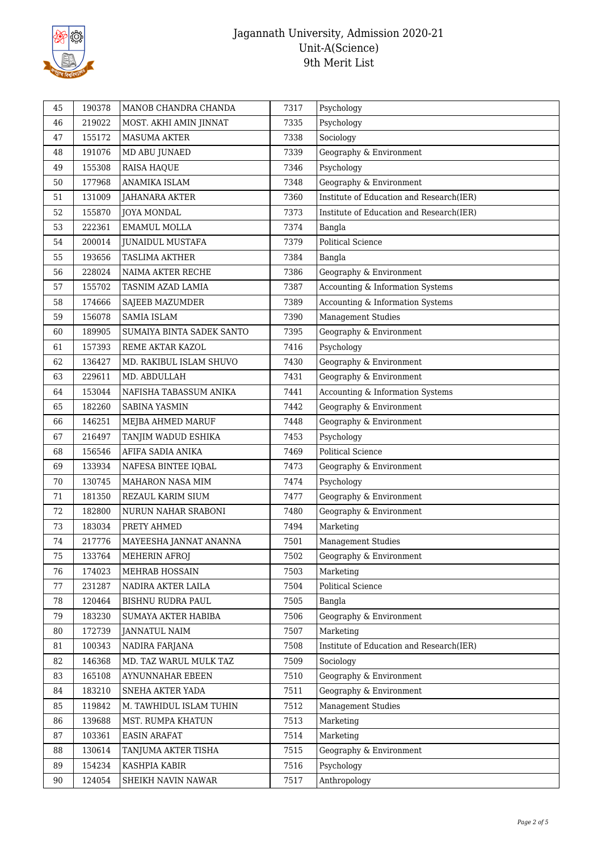

| 45 | 190378 | MANOB CHANDRA CHANDA      | 7317 | Psychology                               |
|----|--------|---------------------------|------|------------------------------------------|
| 46 | 219022 | MOST. AKHI AMIN JINNAT    | 7335 | Psychology                               |
| 47 | 155172 | <b>MASUMA AKTER</b>       | 7338 | Sociology                                |
| 48 | 191076 | MD ABU JUNAED             | 7339 | Geography & Environment                  |
| 49 | 155308 | RAISA HAQUE               | 7346 | Psychology                               |
| 50 | 177968 | ANAMIKA ISLAM             | 7348 | Geography & Environment                  |
| 51 | 131009 | JAHANARA AKTER            | 7360 | Institute of Education and Research(IER) |
| 52 | 155870 | <b>JOYA MONDAL</b>        | 7373 | Institute of Education and Research(IER) |
| 53 | 222361 | <b>EMAMUL MOLLA</b>       | 7374 | Bangla                                   |
| 54 | 200014 | JUNAIDUL MUSTAFA          | 7379 | <b>Political Science</b>                 |
| 55 | 193656 | <b>TASLIMA AKTHER</b>     | 7384 | Bangla                                   |
| 56 | 228024 | NAIMA AKTER RECHE         | 7386 | Geography & Environment                  |
| 57 | 155702 | TASNIM AZAD LAMIA         | 7387 | Accounting & Information Systems         |
| 58 | 174666 | SAJEEB MAZUMDER           | 7389 | Accounting & Information Systems         |
| 59 | 156078 | SAMIA ISLAM               | 7390 | <b>Management Studies</b>                |
| 60 | 189905 | SUMAIYA BINTA SADEK SANTO | 7395 | Geography & Environment                  |
| 61 | 157393 | REME AKTAR KAZOL          | 7416 | Psychology                               |
| 62 | 136427 | MD. RAKIBUL ISLAM SHUVO   | 7430 | Geography & Environment                  |
| 63 | 229611 | MD. ABDULLAH              | 7431 | Geography & Environment                  |
| 64 | 153044 | NAFISHA TABASSUM ANIKA    | 7441 | Accounting & Information Systems         |
| 65 | 182260 | <b>SABINA YASMIN</b>      | 7442 | Geography & Environment                  |
| 66 | 146251 | MEJBA AHMED MARUF         | 7448 | Geography & Environment                  |
| 67 | 216497 | TANJIM WADUD ESHIKA       | 7453 | Psychology                               |
| 68 | 156546 | AFIFA SADIA ANIKA         | 7469 | <b>Political Science</b>                 |
| 69 | 133934 | NAFESA BINTEE IQBAL       | 7473 | Geography & Environment                  |
| 70 | 130745 | MAHARON NASA MIM          | 7474 | Psychology                               |
| 71 | 181350 | REZAUL KARIM SIUM         | 7477 | Geography & Environment                  |
| 72 | 182800 | NURUN NAHAR SRABONI       | 7480 | Geography & Environment                  |
| 73 | 183034 | PRETY AHMED               | 7494 | Marketing                                |
| 74 | 217776 | MAYEESHA JANNAT ANANNA    | 7501 | <b>Management Studies</b>                |
| 75 | 133764 | MEHERIN AFROJ             | 7502 | Geography & Environment                  |
| 76 | 174023 | MEHRAB HOSSAIN            | 7503 | Marketing                                |
| 77 | 231287 | NADIRA AKTER LAILA        | 7504 | Political Science                        |
| 78 | 120464 | BISHNU RUDRA PAUL         | 7505 | Bangla                                   |
| 79 | 183230 | SUMAYA AKTER HABIBA       | 7506 | Geography & Environment                  |
| 80 | 172739 | JANNATUL NAIM             | 7507 | Marketing                                |
| 81 | 100343 | NADIRA FARJANA            | 7508 | Institute of Education and Research(IER) |
| 82 | 146368 | MD. TAZ WARUL MULK TAZ    | 7509 | Sociology                                |
| 83 | 165108 | AYNUNNAHAR EBEEN          | 7510 | Geography & Environment                  |
| 84 | 183210 | SNEHA AKTER YADA          | 7511 | Geography & Environment                  |
| 85 | 119842 | M. TAWHIDUL ISLAM TUHIN   | 7512 | <b>Management Studies</b>                |
| 86 | 139688 | MST. RUMPA KHATUN         | 7513 | Marketing                                |
| 87 | 103361 | <b>EASIN ARAFAT</b>       | 7514 | Marketing                                |
| 88 | 130614 | TANJUMA AKTER TISHA       | 7515 | Geography & Environment                  |
| 89 | 154234 | KASHPIA KABIR             | 7516 | Psychology                               |
| 90 | 124054 | SHEIKH NAVIN NAWAR        | 7517 | Anthropology                             |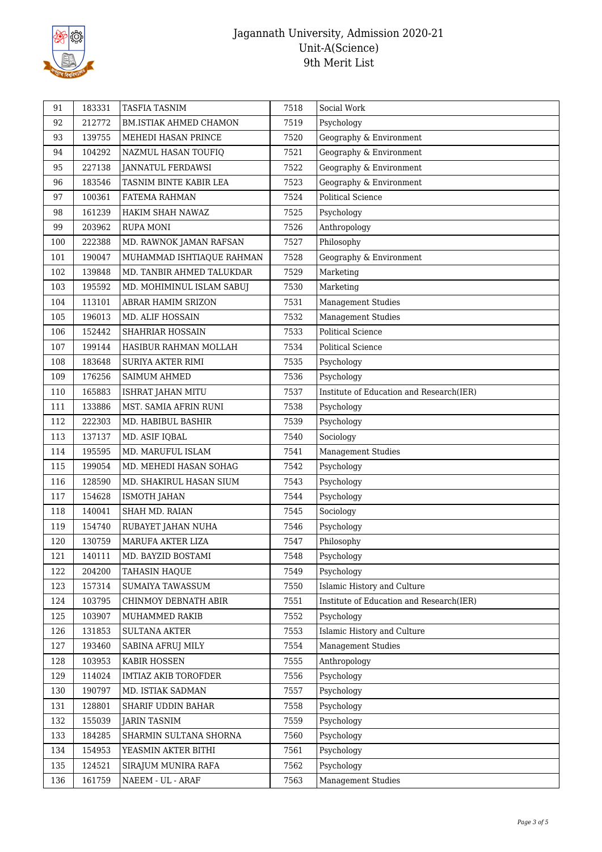

| 92<br>212772<br>7519<br>Psychology<br>BM.ISTIAK AHMED CHAMON<br>139755<br>7520<br>Geography & Environment<br>93<br>MEHEDI HASAN PRINCE<br>104292<br>7521<br>Geography & Environment<br>94<br>NAZMUL HASAN TOUFIQ<br>227138<br>7522<br>Geography & Environment<br>95<br>JANNATUL FERDAWSI<br>Geography & Environment<br>96<br>183546<br>TASNIM BINTE KABIR LEA<br>7523<br><b>Political Science</b><br>97<br>100361<br>FATEMA RAHMAN<br>7524<br>161239<br>7525<br>Psychology<br>98<br>HAKIM SHAH NAWAZ<br>Anthropology<br>99<br>203962<br><b>RUPA MONI</b><br>7526<br>Philosophy<br>100<br>222388<br>MD. RAWNOK JAMAN RAFSAN<br>7527<br>Geography & Environment<br>101<br>190047<br>MUHAMMAD ISHTIAQUE RAHMAN<br>7528<br>Marketing<br>102<br>139848<br>MD. TANBIR AHMED TALUKDAR<br>7529<br>Marketing<br>103<br>195592<br>7530<br>MD. MOHIMINUL ISLAM SABUJ<br>104<br>113101<br>7531<br><b>Management Studies</b><br>ABRAR HAMIM SRIZON<br>105<br>196013<br>7532<br><b>Management Studies</b><br>MD. ALIF HOSSAIN<br>152442<br>7533<br>Political Science<br>106<br>SHAHRIAR HOSSAIN<br>107<br>199144<br>7534<br><b>Political Science</b><br>HASIBUR RAHMAN MOLLAH<br>183648<br>7535<br>Psychology<br>108<br><b>SURIYA AKTER RIMI</b> | 91 | 183331 | <b>TASFIA TASNIM</b> | 7518 | Social Work |
|------------------------------------------------------------------------------------------------------------------------------------------------------------------------------------------------------------------------------------------------------------------------------------------------------------------------------------------------------------------------------------------------------------------------------------------------------------------------------------------------------------------------------------------------------------------------------------------------------------------------------------------------------------------------------------------------------------------------------------------------------------------------------------------------------------------------------------------------------------------------------------------------------------------------------------------------------------------------------------------------------------------------------------------------------------------------------------------------------------------------------------------------------------------------------------------------------------------------------------|----|--------|----------------------|------|-------------|
|                                                                                                                                                                                                                                                                                                                                                                                                                                                                                                                                                                                                                                                                                                                                                                                                                                                                                                                                                                                                                                                                                                                                                                                                                                    |    |        |                      |      |             |
|                                                                                                                                                                                                                                                                                                                                                                                                                                                                                                                                                                                                                                                                                                                                                                                                                                                                                                                                                                                                                                                                                                                                                                                                                                    |    |        |                      |      |             |
|                                                                                                                                                                                                                                                                                                                                                                                                                                                                                                                                                                                                                                                                                                                                                                                                                                                                                                                                                                                                                                                                                                                                                                                                                                    |    |        |                      |      |             |
|                                                                                                                                                                                                                                                                                                                                                                                                                                                                                                                                                                                                                                                                                                                                                                                                                                                                                                                                                                                                                                                                                                                                                                                                                                    |    |        |                      |      |             |
|                                                                                                                                                                                                                                                                                                                                                                                                                                                                                                                                                                                                                                                                                                                                                                                                                                                                                                                                                                                                                                                                                                                                                                                                                                    |    |        |                      |      |             |
|                                                                                                                                                                                                                                                                                                                                                                                                                                                                                                                                                                                                                                                                                                                                                                                                                                                                                                                                                                                                                                                                                                                                                                                                                                    |    |        |                      |      |             |
|                                                                                                                                                                                                                                                                                                                                                                                                                                                                                                                                                                                                                                                                                                                                                                                                                                                                                                                                                                                                                                                                                                                                                                                                                                    |    |        |                      |      |             |
|                                                                                                                                                                                                                                                                                                                                                                                                                                                                                                                                                                                                                                                                                                                                                                                                                                                                                                                                                                                                                                                                                                                                                                                                                                    |    |        |                      |      |             |
|                                                                                                                                                                                                                                                                                                                                                                                                                                                                                                                                                                                                                                                                                                                                                                                                                                                                                                                                                                                                                                                                                                                                                                                                                                    |    |        |                      |      |             |
|                                                                                                                                                                                                                                                                                                                                                                                                                                                                                                                                                                                                                                                                                                                                                                                                                                                                                                                                                                                                                                                                                                                                                                                                                                    |    |        |                      |      |             |
|                                                                                                                                                                                                                                                                                                                                                                                                                                                                                                                                                                                                                                                                                                                                                                                                                                                                                                                                                                                                                                                                                                                                                                                                                                    |    |        |                      |      |             |
|                                                                                                                                                                                                                                                                                                                                                                                                                                                                                                                                                                                                                                                                                                                                                                                                                                                                                                                                                                                                                                                                                                                                                                                                                                    |    |        |                      |      |             |
|                                                                                                                                                                                                                                                                                                                                                                                                                                                                                                                                                                                                                                                                                                                                                                                                                                                                                                                                                                                                                                                                                                                                                                                                                                    |    |        |                      |      |             |
|                                                                                                                                                                                                                                                                                                                                                                                                                                                                                                                                                                                                                                                                                                                                                                                                                                                                                                                                                                                                                                                                                                                                                                                                                                    |    |        |                      |      |             |
|                                                                                                                                                                                                                                                                                                                                                                                                                                                                                                                                                                                                                                                                                                                                                                                                                                                                                                                                                                                                                                                                                                                                                                                                                                    |    |        |                      |      |             |
|                                                                                                                                                                                                                                                                                                                                                                                                                                                                                                                                                                                                                                                                                                                                                                                                                                                                                                                                                                                                                                                                                                                                                                                                                                    |    |        |                      |      |             |
|                                                                                                                                                                                                                                                                                                                                                                                                                                                                                                                                                                                                                                                                                                                                                                                                                                                                                                                                                                                                                                                                                                                                                                                                                                    |    |        |                      |      |             |
| 109<br>176256<br>Psychology<br>SAIMUM AHMED<br>7536                                                                                                                                                                                                                                                                                                                                                                                                                                                                                                                                                                                                                                                                                                                                                                                                                                                                                                                                                                                                                                                                                                                                                                                |    |        |                      |      |             |
| Institute of Education and Research(IER)<br>110<br>165883<br>ISHRAT JAHAN MITU<br>7537                                                                                                                                                                                                                                                                                                                                                                                                                                                                                                                                                                                                                                                                                                                                                                                                                                                                                                                                                                                                                                                                                                                                             |    |        |                      |      |             |
| 111<br>133886<br>MST. SAMIA AFRIN RUNI<br>7538<br>Psychology                                                                                                                                                                                                                                                                                                                                                                                                                                                                                                                                                                                                                                                                                                                                                                                                                                                                                                                                                                                                                                                                                                                                                                       |    |        |                      |      |             |
| 112<br>222303<br>7539<br>Psychology<br>MD. HABIBUL BASHIR                                                                                                                                                                                                                                                                                                                                                                                                                                                                                                                                                                                                                                                                                                                                                                                                                                                                                                                                                                                                                                                                                                                                                                          |    |        |                      |      |             |
| Sociology<br>113<br>137137<br>MD. ASIF IQBAL<br>7540                                                                                                                                                                                                                                                                                                                                                                                                                                                                                                                                                                                                                                                                                                                                                                                                                                                                                                                                                                                                                                                                                                                                                                               |    |        |                      |      |             |
| MD. MARUFUL ISLAM<br><b>Management Studies</b><br>114<br>195595<br>7541                                                                                                                                                                                                                                                                                                                                                                                                                                                                                                                                                                                                                                                                                                                                                                                                                                                                                                                                                                                                                                                                                                                                                            |    |        |                      |      |             |
| Psychology<br>199054<br>MD. MEHEDI HASAN SOHAG<br>7542<br>115                                                                                                                                                                                                                                                                                                                                                                                                                                                                                                                                                                                                                                                                                                                                                                                                                                                                                                                                                                                                                                                                                                                                                                      |    |        |                      |      |             |
| 128590<br>7543<br>Psychology<br>116<br>MD. SHAKIRUL HASAN SIUM                                                                                                                                                                                                                                                                                                                                                                                                                                                                                                                                                                                                                                                                                                                                                                                                                                                                                                                                                                                                                                                                                                                                                                     |    |        |                      |      |             |
| 117<br>154628<br>Psychology<br>ISMOTH JAHAN<br>7544                                                                                                                                                                                                                                                                                                                                                                                                                                                                                                                                                                                                                                                                                                                                                                                                                                                                                                                                                                                                                                                                                                                                                                                |    |        |                      |      |             |
| 118<br>Sociology<br>140041<br>SHAH MD. RAIAN<br>7545                                                                                                                                                                                                                                                                                                                                                                                                                                                                                                                                                                                                                                                                                                                                                                                                                                                                                                                                                                                                                                                                                                                                                                               |    |        |                      |      |             |
| 119<br>154740<br>7546<br>Psychology<br>RUBAYET JAHAN NUHA                                                                                                                                                                                                                                                                                                                                                                                                                                                                                                                                                                                                                                                                                                                                                                                                                                                                                                                                                                                                                                                                                                                                                                          |    |        |                      |      |             |
| 120<br>Philosophy<br>130759<br>MARUFA AKTER LIZA<br>7547                                                                                                                                                                                                                                                                                                                                                                                                                                                                                                                                                                                                                                                                                                                                                                                                                                                                                                                                                                                                                                                                                                                                                                           |    |        |                      |      |             |
| 121<br>140111<br>MD. BAYZID BOSTAMI<br>7548<br>Psychology                                                                                                                                                                                                                                                                                                                                                                                                                                                                                                                                                                                                                                                                                                                                                                                                                                                                                                                                                                                                                                                                                                                                                                          |    |        |                      |      |             |
| 122<br>204200<br>TAHASIN HAQUE<br>7549<br>Psychology                                                                                                                                                                                                                                                                                                                                                                                                                                                                                                                                                                                                                                                                                                                                                                                                                                                                                                                                                                                                                                                                                                                                                                               |    |        |                      |      |             |
| Islamic History and Culture<br>157314<br>SUMAIYA TAWASSUM<br>7550<br>123                                                                                                                                                                                                                                                                                                                                                                                                                                                                                                                                                                                                                                                                                                                                                                                                                                                                                                                                                                                                                                                                                                                                                           |    |        |                      |      |             |
| Institute of Education and Research(IER)<br>124<br>103795<br>CHINMOY DEBNATH ABIR<br>7551                                                                                                                                                                                                                                                                                                                                                                                                                                                                                                                                                                                                                                                                                                                                                                                                                                                                                                                                                                                                                                                                                                                                          |    |        |                      |      |             |
| 125<br>103907<br>MUHAMMED RAKIB<br>7552<br>Psychology                                                                                                                                                                                                                                                                                                                                                                                                                                                                                                                                                                                                                                                                                                                                                                                                                                                                                                                                                                                                                                                                                                                                                                              |    |        |                      |      |             |
| 126<br>131853<br><b>SULTANA AKTER</b><br>7553<br>Islamic History and Culture                                                                                                                                                                                                                                                                                                                                                                                                                                                                                                                                                                                                                                                                                                                                                                                                                                                                                                                                                                                                                                                                                                                                                       |    |        |                      |      |             |
| 127<br>193460<br>7554<br><b>Management Studies</b><br>SABINA AFRUJ MILY                                                                                                                                                                                                                                                                                                                                                                                                                                                                                                                                                                                                                                                                                                                                                                                                                                                                                                                                                                                                                                                                                                                                                            |    |        |                      |      |             |
| 128<br>103953<br>KABIR HOSSEN<br>7555<br>Anthropology                                                                                                                                                                                                                                                                                                                                                                                                                                                                                                                                                                                                                                                                                                                                                                                                                                                                                                                                                                                                                                                                                                                                                                              |    |        |                      |      |             |
| 129<br>114024<br>Psychology<br><b>IMTIAZ AKIB TOROFDER</b><br>7556                                                                                                                                                                                                                                                                                                                                                                                                                                                                                                                                                                                                                                                                                                                                                                                                                                                                                                                                                                                                                                                                                                                                                                 |    |        |                      |      |             |
| 190797<br>MD. ISTIAK SADMAN<br>7557<br>Psychology<br>130                                                                                                                                                                                                                                                                                                                                                                                                                                                                                                                                                                                                                                                                                                                                                                                                                                                                                                                                                                                                                                                                                                                                                                           |    |        |                      |      |             |
| 131<br>128801<br>SHARIF UDDIN BAHAR<br>7558<br>Psychology                                                                                                                                                                                                                                                                                                                                                                                                                                                                                                                                                                                                                                                                                                                                                                                                                                                                                                                                                                                                                                                                                                                                                                          |    |        |                      |      |             |
| 132<br>155039<br><b>JARIN TASNIM</b><br>7559<br>Psychology                                                                                                                                                                                                                                                                                                                                                                                                                                                                                                                                                                                                                                                                                                                                                                                                                                                                                                                                                                                                                                                                                                                                                                         |    |        |                      |      |             |
| 133<br>184285<br>SHARMIN SULTANA SHORNA<br>7560<br>Psychology                                                                                                                                                                                                                                                                                                                                                                                                                                                                                                                                                                                                                                                                                                                                                                                                                                                                                                                                                                                                                                                                                                                                                                      |    |        |                      |      |             |
| 154953<br>Psychology<br>134<br>YEASMIN AKTER BITHI<br>7561                                                                                                                                                                                                                                                                                                                                                                                                                                                                                                                                                                                                                                                                                                                                                                                                                                                                                                                                                                                                                                                                                                                                                                         |    |        |                      |      |             |
| 124521<br>7562<br>135<br>SIRAJUM MUNIRA RAFA<br>Psychology                                                                                                                                                                                                                                                                                                                                                                                                                                                                                                                                                                                                                                                                                                                                                                                                                                                                                                                                                                                                                                                                                                                                                                         |    |        |                      |      |             |
| 136<br>161759<br>NAEEM - UL - ARAF<br>7563<br><b>Management Studies</b>                                                                                                                                                                                                                                                                                                                                                                                                                                                                                                                                                                                                                                                                                                                                                                                                                                                                                                                                                                                                                                                                                                                                                            |    |        |                      |      |             |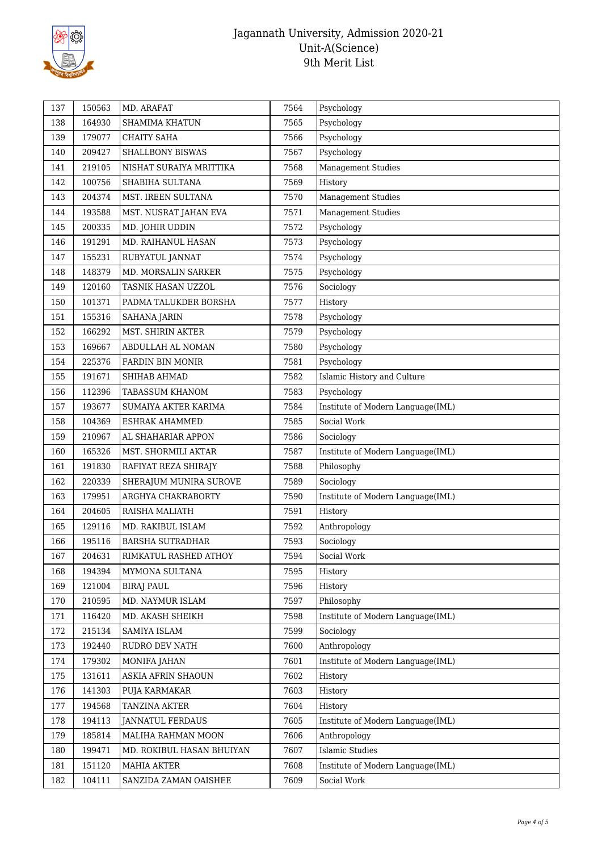

| 138<br>164930<br>7565<br>Psychology<br><b>SHAMIMA KHATUN</b><br>139<br>179077<br><b>CHAITY SAHA</b><br>Psychology<br>7566<br>140<br>209427<br>SHALLBONY BISWAS<br>7567<br>Psychology<br><b>Management Studies</b><br>219105<br>7568<br>141<br>NISHAT SURAIYA MRITTIKA<br>142<br>100756<br>7569<br>History<br>SHABIHA SULTANA<br><b>Management Studies</b><br>143<br>204374<br>MST. IREEN SULTANA<br>7570<br>193588<br>Management Studies<br>144<br>7571<br>MST. NUSRAT JAHAN EVA<br>145<br>200335<br>MD. JOHIR UDDIN<br>7572<br>Psychology<br>Psychology<br>146<br>191291<br>MD. RAIHANUL HASAN<br>7573<br>147<br>155231<br>RUBYATUL JANNAT<br>7574<br>Psychology<br>148379<br>Psychology<br>148<br>MD. MORSALIN SARKER<br>7575<br>149<br>120160<br>Sociology<br>TASNIK HASAN UZZOL<br>7576<br>150<br>101371<br>PADMA TALUKDER BORSHA<br>7577<br>History<br>Psychology<br>151<br>155316<br><b>SAHANA JARIN</b><br>7578<br>152<br>166292<br>MST. SHIRIN AKTER<br>7579<br>Psychology<br>153<br>169667<br>7580<br>Psychology<br>ABDULLAH AL NOMAN<br>154<br>225376<br>7581<br>Psychology<br><b>FARDIN BIN MONIR</b><br>Islamic History and Culture<br>155<br>7582<br>191671<br>SHIHAB AHMAD<br>112396<br>Psychology<br>156<br><b>TABASSUM KHANOM</b><br>7583<br>193677<br>157<br>SUMAIYA AKTER KARIMA<br>7584<br>Institute of Modern Language(IML)<br>Social Work<br>158<br>104369<br>ESHRAK AHAMMED<br>7585<br>159<br>210967<br>AL SHAHARIAR APPON<br>7586<br>Sociology<br>160<br>165326<br>7587<br>MST. SHORMILI AKTAR<br>Institute of Modern Language(IML)<br>Philosophy<br>161<br>191830<br>7588<br>RAFIYAT REZA SHIRAJY<br>Sociology<br>162<br>220339<br>SHERAJUM MUNIRA SUROVE<br>7589<br>163<br>179951<br>ARGHYA CHAKRABORTY<br>7590<br>Institute of Modern Language(IML)<br>164<br>204605<br>RAISHA MALIATH<br>History<br>7591<br>129116<br>165<br>MD. RAKIBUL ISLAM<br>7592<br>Anthropology<br>Sociology<br>166<br>195116<br><b>BARSHA SUTRADHAR</b><br>7593<br>167<br>204631<br>RIMKATUL RASHED ATHOY<br>7594<br>Social Work<br>194394<br>MYMONA SULTANA<br>7595<br>168<br>History<br>169<br>121004<br><b>BIRAJ PAUL</b><br>7596<br>History<br>170<br>210595<br>MD. NAYMUR ISLAM<br>7597<br>Philosophy<br>171<br>116420<br>MD. AKASH SHEIKH<br>7598<br>Institute of Modern Language(IML)<br>172<br>215134<br>SAMIYA ISLAM<br>7599<br>Sociology<br>192440<br>RUDRO DEV NATH<br>7600<br>Anthropology<br>173<br>174<br>179302<br>7601<br>Institute of Modern Language(IML)<br>MONIFA JAHAN<br>131611<br>ASKIA AFRIN SHAOUN<br>175<br>7602<br>History<br>176<br>141303<br>PUJA KARMAKAR<br>7603<br>History<br>194568<br>TANZINA AKTER<br>7604<br>177<br>History<br>194113<br><b>JANNATUL FERDAUS</b><br>7605<br>178<br>Institute of Modern Language(IML)<br>185814<br>MALIHA RAHMAN MOON<br>7606<br>Anthropology<br>179<br>199471<br>7607<br><b>Islamic Studies</b><br>180<br>MD. ROKIBUL HASAN BHUIYAN<br>181<br>151120<br><b>MAHIA AKTER</b><br>7608<br>Institute of Modern Language(IML)<br>182<br>104111<br>7609<br>Social Work<br>SANZIDA ZAMAN OAISHEE | 137 | 150563 | MD. ARAFAT | 7564 | Psychology |
|-----------------------------------------------------------------------------------------------------------------------------------------------------------------------------------------------------------------------------------------------------------------------------------------------------------------------------------------------------------------------------------------------------------------------------------------------------------------------------------------------------------------------------------------------------------------------------------------------------------------------------------------------------------------------------------------------------------------------------------------------------------------------------------------------------------------------------------------------------------------------------------------------------------------------------------------------------------------------------------------------------------------------------------------------------------------------------------------------------------------------------------------------------------------------------------------------------------------------------------------------------------------------------------------------------------------------------------------------------------------------------------------------------------------------------------------------------------------------------------------------------------------------------------------------------------------------------------------------------------------------------------------------------------------------------------------------------------------------------------------------------------------------------------------------------------------------------------------------------------------------------------------------------------------------------------------------------------------------------------------------------------------------------------------------------------------------------------------------------------------------------------------------------------------------------------------------------------------------------------------------------------------------------------------------------------------------------------------------------------------------------------------------------------------------------------------------------------------------------------------------------------------------------------------------------------------------------------------------------------------------------------------------------------------------------------------------------------------------------------------------------------------------------------------------------------------------------------------------------------------------------------------------------------------------------------------------------------------------------------------------------------------------------------------------------------------|-----|--------|------------|------|------------|
|                                                                                                                                                                                                                                                                                                                                                                                                                                                                                                                                                                                                                                                                                                                                                                                                                                                                                                                                                                                                                                                                                                                                                                                                                                                                                                                                                                                                                                                                                                                                                                                                                                                                                                                                                                                                                                                                                                                                                                                                                                                                                                                                                                                                                                                                                                                                                                                                                                                                                                                                                                                                                                                                                                                                                                                                                                                                                                                                                                                                                                                                 |     |        |            |      |            |
|                                                                                                                                                                                                                                                                                                                                                                                                                                                                                                                                                                                                                                                                                                                                                                                                                                                                                                                                                                                                                                                                                                                                                                                                                                                                                                                                                                                                                                                                                                                                                                                                                                                                                                                                                                                                                                                                                                                                                                                                                                                                                                                                                                                                                                                                                                                                                                                                                                                                                                                                                                                                                                                                                                                                                                                                                                                                                                                                                                                                                                                                 |     |        |            |      |            |
|                                                                                                                                                                                                                                                                                                                                                                                                                                                                                                                                                                                                                                                                                                                                                                                                                                                                                                                                                                                                                                                                                                                                                                                                                                                                                                                                                                                                                                                                                                                                                                                                                                                                                                                                                                                                                                                                                                                                                                                                                                                                                                                                                                                                                                                                                                                                                                                                                                                                                                                                                                                                                                                                                                                                                                                                                                                                                                                                                                                                                                                                 |     |        |            |      |            |
|                                                                                                                                                                                                                                                                                                                                                                                                                                                                                                                                                                                                                                                                                                                                                                                                                                                                                                                                                                                                                                                                                                                                                                                                                                                                                                                                                                                                                                                                                                                                                                                                                                                                                                                                                                                                                                                                                                                                                                                                                                                                                                                                                                                                                                                                                                                                                                                                                                                                                                                                                                                                                                                                                                                                                                                                                                                                                                                                                                                                                                                                 |     |        |            |      |            |
|                                                                                                                                                                                                                                                                                                                                                                                                                                                                                                                                                                                                                                                                                                                                                                                                                                                                                                                                                                                                                                                                                                                                                                                                                                                                                                                                                                                                                                                                                                                                                                                                                                                                                                                                                                                                                                                                                                                                                                                                                                                                                                                                                                                                                                                                                                                                                                                                                                                                                                                                                                                                                                                                                                                                                                                                                                                                                                                                                                                                                                                                 |     |        |            |      |            |
|                                                                                                                                                                                                                                                                                                                                                                                                                                                                                                                                                                                                                                                                                                                                                                                                                                                                                                                                                                                                                                                                                                                                                                                                                                                                                                                                                                                                                                                                                                                                                                                                                                                                                                                                                                                                                                                                                                                                                                                                                                                                                                                                                                                                                                                                                                                                                                                                                                                                                                                                                                                                                                                                                                                                                                                                                                                                                                                                                                                                                                                                 |     |        |            |      |            |
|                                                                                                                                                                                                                                                                                                                                                                                                                                                                                                                                                                                                                                                                                                                                                                                                                                                                                                                                                                                                                                                                                                                                                                                                                                                                                                                                                                                                                                                                                                                                                                                                                                                                                                                                                                                                                                                                                                                                                                                                                                                                                                                                                                                                                                                                                                                                                                                                                                                                                                                                                                                                                                                                                                                                                                                                                                                                                                                                                                                                                                                                 |     |        |            |      |            |
|                                                                                                                                                                                                                                                                                                                                                                                                                                                                                                                                                                                                                                                                                                                                                                                                                                                                                                                                                                                                                                                                                                                                                                                                                                                                                                                                                                                                                                                                                                                                                                                                                                                                                                                                                                                                                                                                                                                                                                                                                                                                                                                                                                                                                                                                                                                                                                                                                                                                                                                                                                                                                                                                                                                                                                                                                                                                                                                                                                                                                                                                 |     |        |            |      |            |
|                                                                                                                                                                                                                                                                                                                                                                                                                                                                                                                                                                                                                                                                                                                                                                                                                                                                                                                                                                                                                                                                                                                                                                                                                                                                                                                                                                                                                                                                                                                                                                                                                                                                                                                                                                                                                                                                                                                                                                                                                                                                                                                                                                                                                                                                                                                                                                                                                                                                                                                                                                                                                                                                                                                                                                                                                                                                                                                                                                                                                                                                 |     |        |            |      |            |
|                                                                                                                                                                                                                                                                                                                                                                                                                                                                                                                                                                                                                                                                                                                                                                                                                                                                                                                                                                                                                                                                                                                                                                                                                                                                                                                                                                                                                                                                                                                                                                                                                                                                                                                                                                                                                                                                                                                                                                                                                                                                                                                                                                                                                                                                                                                                                                                                                                                                                                                                                                                                                                                                                                                                                                                                                                                                                                                                                                                                                                                                 |     |        |            |      |            |
|                                                                                                                                                                                                                                                                                                                                                                                                                                                                                                                                                                                                                                                                                                                                                                                                                                                                                                                                                                                                                                                                                                                                                                                                                                                                                                                                                                                                                                                                                                                                                                                                                                                                                                                                                                                                                                                                                                                                                                                                                                                                                                                                                                                                                                                                                                                                                                                                                                                                                                                                                                                                                                                                                                                                                                                                                                                                                                                                                                                                                                                                 |     |        |            |      |            |
|                                                                                                                                                                                                                                                                                                                                                                                                                                                                                                                                                                                                                                                                                                                                                                                                                                                                                                                                                                                                                                                                                                                                                                                                                                                                                                                                                                                                                                                                                                                                                                                                                                                                                                                                                                                                                                                                                                                                                                                                                                                                                                                                                                                                                                                                                                                                                                                                                                                                                                                                                                                                                                                                                                                                                                                                                                                                                                                                                                                                                                                                 |     |        |            |      |            |
|                                                                                                                                                                                                                                                                                                                                                                                                                                                                                                                                                                                                                                                                                                                                                                                                                                                                                                                                                                                                                                                                                                                                                                                                                                                                                                                                                                                                                                                                                                                                                                                                                                                                                                                                                                                                                                                                                                                                                                                                                                                                                                                                                                                                                                                                                                                                                                                                                                                                                                                                                                                                                                                                                                                                                                                                                                                                                                                                                                                                                                                                 |     |        |            |      |            |
|                                                                                                                                                                                                                                                                                                                                                                                                                                                                                                                                                                                                                                                                                                                                                                                                                                                                                                                                                                                                                                                                                                                                                                                                                                                                                                                                                                                                                                                                                                                                                                                                                                                                                                                                                                                                                                                                                                                                                                                                                                                                                                                                                                                                                                                                                                                                                                                                                                                                                                                                                                                                                                                                                                                                                                                                                                                                                                                                                                                                                                                                 |     |        |            |      |            |
|                                                                                                                                                                                                                                                                                                                                                                                                                                                                                                                                                                                                                                                                                                                                                                                                                                                                                                                                                                                                                                                                                                                                                                                                                                                                                                                                                                                                                                                                                                                                                                                                                                                                                                                                                                                                                                                                                                                                                                                                                                                                                                                                                                                                                                                                                                                                                                                                                                                                                                                                                                                                                                                                                                                                                                                                                                                                                                                                                                                                                                                                 |     |        |            |      |            |
|                                                                                                                                                                                                                                                                                                                                                                                                                                                                                                                                                                                                                                                                                                                                                                                                                                                                                                                                                                                                                                                                                                                                                                                                                                                                                                                                                                                                                                                                                                                                                                                                                                                                                                                                                                                                                                                                                                                                                                                                                                                                                                                                                                                                                                                                                                                                                                                                                                                                                                                                                                                                                                                                                                                                                                                                                                                                                                                                                                                                                                                                 |     |        |            |      |            |
|                                                                                                                                                                                                                                                                                                                                                                                                                                                                                                                                                                                                                                                                                                                                                                                                                                                                                                                                                                                                                                                                                                                                                                                                                                                                                                                                                                                                                                                                                                                                                                                                                                                                                                                                                                                                                                                                                                                                                                                                                                                                                                                                                                                                                                                                                                                                                                                                                                                                                                                                                                                                                                                                                                                                                                                                                                                                                                                                                                                                                                                                 |     |        |            |      |            |
|                                                                                                                                                                                                                                                                                                                                                                                                                                                                                                                                                                                                                                                                                                                                                                                                                                                                                                                                                                                                                                                                                                                                                                                                                                                                                                                                                                                                                                                                                                                                                                                                                                                                                                                                                                                                                                                                                                                                                                                                                                                                                                                                                                                                                                                                                                                                                                                                                                                                                                                                                                                                                                                                                                                                                                                                                                                                                                                                                                                                                                                                 |     |        |            |      |            |
|                                                                                                                                                                                                                                                                                                                                                                                                                                                                                                                                                                                                                                                                                                                                                                                                                                                                                                                                                                                                                                                                                                                                                                                                                                                                                                                                                                                                                                                                                                                                                                                                                                                                                                                                                                                                                                                                                                                                                                                                                                                                                                                                                                                                                                                                                                                                                                                                                                                                                                                                                                                                                                                                                                                                                                                                                                                                                                                                                                                                                                                                 |     |        |            |      |            |
|                                                                                                                                                                                                                                                                                                                                                                                                                                                                                                                                                                                                                                                                                                                                                                                                                                                                                                                                                                                                                                                                                                                                                                                                                                                                                                                                                                                                                                                                                                                                                                                                                                                                                                                                                                                                                                                                                                                                                                                                                                                                                                                                                                                                                                                                                                                                                                                                                                                                                                                                                                                                                                                                                                                                                                                                                                                                                                                                                                                                                                                                 |     |        |            |      |            |
|                                                                                                                                                                                                                                                                                                                                                                                                                                                                                                                                                                                                                                                                                                                                                                                                                                                                                                                                                                                                                                                                                                                                                                                                                                                                                                                                                                                                                                                                                                                                                                                                                                                                                                                                                                                                                                                                                                                                                                                                                                                                                                                                                                                                                                                                                                                                                                                                                                                                                                                                                                                                                                                                                                                                                                                                                                                                                                                                                                                                                                                                 |     |        |            |      |            |
|                                                                                                                                                                                                                                                                                                                                                                                                                                                                                                                                                                                                                                                                                                                                                                                                                                                                                                                                                                                                                                                                                                                                                                                                                                                                                                                                                                                                                                                                                                                                                                                                                                                                                                                                                                                                                                                                                                                                                                                                                                                                                                                                                                                                                                                                                                                                                                                                                                                                                                                                                                                                                                                                                                                                                                                                                                                                                                                                                                                                                                                                 |     |        |            |      |            |
|                                                                                                                                                                                                                                                                                                                                                                                                                                                                                                                                                                                                                                                                                                                                                                                                                                                                                                                                                                                                                                                                                                                                                                                                                                                                                                                                                                                                                                                                                                                                                                                                                                                                                                                                                                                                                                                                                                                                                                                                                                                                                                                                                                                                                                                                                                                                                                                                                                                                                                                                                                                                                                                                                                                                                                                                                                                                                                                                                                                                                                                                 |     |        |            |      |            |
|                                                                                                                                                                                                                                                                                                                                                                                                                                                                                                                                                                                                                                                                                                                                                                                                                                                                                                                                                                                                                                                                                                                                                                                                                                                                                                                                                                                                                                                                                                                                                                                                                                                                                                                                                                                                                                                                                                                                                                                                                                                                                                                                                                                                                                                                                                                                                                                                                                                                                                                                                                                                                                                                                                                                                                                                                                                                                                                                                                                                                                                                 |     |        |            |      |            |
|                                                                                                                                                                                                                                                                                                                                                                                                                                                                                                                                                                                                                                                                                                                                                                                                                                                                                                                                                                                                                                                                                                                                                                                                                                                                                                                                                                                                                                                                                                                                                                                                                                                                                                                                                                                                                                                                                                                                                                                                                                                                                                                                                                                                                                                                                                                                                                                                                                                                                                                                                                                                                                                                                                                                                                                                                                                                                                                                                                                                                                                                 |     |        |            |      |            |
|                                                                                                                                                                                                                                                                                                                                                                                                                                                                                                                                                                                                                                                                                                                                                                                                                                                                                                                                                                                                                                                                                                                                                                                                                                                                                                                                                                                                                                                                                                                                                                                                                                                                                                                                                                                                                                                                                                                                                                                                                                                                                                                                                                                                                                                                                                                                                                                                                                                                                                                                                                                                                                                                                                                                                                                                                                                                                                                                                                                                                                                                 |     |        |            |      |            |
|                                                                                                                                                                                                                                                                                                                                                                                                                                                                                                                                                                                                                                                                                                                                                                                                                                                                                                                                                                                                                                                                                                                                                                                                                                                                                                                                                                                                                                                                                                                                                                                                                                                                                                                                                                                                                                                                                                                                                                                                                                                                                                                                                                                                                                                                                                                                                                                                                                                                                                                                                                                                                                                                                                                                                                                                                                                                                                                                                                                                                                                                 |     |        |            |      |            |
|                                                                                                                                                                                                                                                                                                                                                                                                                                                                                                                                                                                                                                                                                                                                                                                                                                                                                                                                                                                                                                                                                                                                                                                                                                                                                                                                                                                                                                                                                                                                                                                                                                                                                                                                                                                                                                                                                                                                                                                                                                                                                                                                                                                                                                                                                                                                                                                                                                                                                                                                                                                                                                                                                                                                                                                                                                                                                                                                                                                                                                                                 |     |        |            |      |            |
|                                                                                                                                                                                                                                                                                                                                                                                                                                                                                                                                                                                                                                                                                                                                                                                                                                                                                                                                                                                                                                                                                                                                                                                                                                                                                                                                                                                                                                                                                                                                                                                                                                                                                                                                                                                                                                                                                                                                                                                                                                                                                                                                                                                                                                                                                                                                                                                                                                                                                                                                                                                                                                                                                                                                                                                                                                                                                                                                                                                                                                                                 |     |        |            |      |            |
|                                                                                                                                                                                                                                                                                                                                                                                                                                                                                                                                                                                                                                                                                                                                                                                                                                                                                                                                                                                                                                                                                                                                                                                                                                                                                                                                                                                                                                                                                                                                                                                                                                                                                                                                                                                                                                                                                                                                                                                                                                                                                                                                                                                                                                                                                                                                                                                                                                                                                                                                                                                                                                                                                                                                                                                                                                                                                                                                                                                                                                                                 |     |        |            |      |            |
|                                                                                                                                                                                                                                                                                                                                                                                                                                                                                                                                                                                                                                                                                                                                                                                                                                                                                                                                                                                                                                                                                                                                                                                                                                                                                                                                                                                                                                                                                                                                                                                                                                                                                                                                                                                                                                                                                                                                                                                                                                                                                                                                                                                                                                                                                                                                                                                                                                                                                                                                                                                                                                                                                                                                                                                                                                                                                                                                                                                                                                                                 |     |        |            |      |            |
|                                                                                                                                                                                                                                                                                                                                                                                                                                                                                                                                                                                                                                                                                                                                                                                                                                                                                                                                                                                                                                                                                                                                                                                                                                                                                                                                                                                                                                                                                                                                                                                                                                                                                                                                                                                                                                                                                                                                                                                                                                                                                                                                                                                                                                                                                                                                                                                                                                                                                                                                                                                                                                                                                                                                                                                                                                                                                                                                                                                                                                                                 |     |        |            |      |            |
|                                                                                                                                                                                                                                                                                                                                                                                                                                                                                                                                                                                                                                                                                                                                                                                                                                                                                                                                                                                                                                                                                                                                                                                                                                                                                                                                                                                                                                                                                                                                                                                                                                                                                                                                                                                                                                                                                                                                                                                                                                                                                                                                                                                                                                                                                                                                                                                                                                                                                                                                                                                                                                                                                                                                                                                                                                                                                                                                                                                                                                                                 |     |        |            |      |            |
|                                                                                                                                                                                                                                                                                                                                                                                                                                                                                                                                                                                                                                                                                                                                                                                                                                                                                                                                                                                                                                                                                                                                                                                                                                                                                                                                                                                                                                                                                                                                                                                                                                                                                                                                                                                                                                                                                                                                                                                                                                                                                                                                                                                                                                                                                                                                                                                                                                                                                                                                                                                                                                                                                                                                                                                                                                                                                                                                                                                                                                                                 |     |        |            |      |            |
|                                                                                                                                                                                                                                                                                                                                                                                                                                                                                                                                                                                                                                                                                                                                                                                                                                                                                                                                                                                                                                                                                                                                                                                                                                                                                                                                                                                                                                                                                                                                                                                                                                                                                                                                                                                                                                                                                                                                                                                                                                                                                                                                                                                                                                                                                                                                                                                                                                                                                                                                                                                                                                                                                                                                                                                                                                                                                                                                                                                                                                                                 |     |        |            |      |            |
|                                                                                                                                                                                                                                                                                                                                                                                                                                                                                                                                                                                                                                                                                                                                                                                                                                                                                                                                                                                                                                                                                                                                                                                                                                                                                                                                                                                                                                                                                                                                                                                                                                                                                                                                                                                                                                                                                                                                                                                                                                                                                                                                                                                                                                                                                                                                                                                                                                                                                                                                                                                                                                                                                                                                                                                                                                                                                                                                                                                                                                                                 |     |        |            |      |            |
|                                                                                                                                                                                                                                                                                                                                                                                                                                                                                                                                                                                                                                                                                                                                                                                                                                                                                                                                                                                                                                                                                                                                                                                                                                                                                                                                                                                                                                                                                                                                                                                                                                                                                                                                                                                                                                                                                                                                                                                                                                                                                                                                                                                                                                                                                                                                                                                                                                                                                                                                                                                                                                                                                                                                                                                                                                                                                                                                                                                                                                                                 |     |        |            |      |            |
|                                                                                                                                                                                                                                                                                                                                                                                                                                                                                                                                                                                                                                                                                                                                                                                                                                                                                                                                                                                                                                                                                                                                                                                                                                                                                                                                                                                                                                                                                                                                                                                                                                                                                                                                                                                                                                                                                                                                                                                                                                                                                                                                                                                                                                                                                                                                                                                                                                                                                                                                                                                                                                                                                                                                                                                                                                                                                                                                                                                                                                                                 |     |        |            |      |            |
|                                                                                                                                                                                                                                                                                                                                                                                                                                                                                                                                                                                                                                                                                                                                                                                                                                                                                                                                                                                                                                                                                                                                                                                                                                                                                                                                                                                                                                                                                                                                                                                                                                                                                                                                                                                                                                                                                                                                                                                                                                                                                                                                                                                                                                                                                                                                                                                                                                                                                                                                                                                                                                                                                                                                                                                                                                                                                                                                                                                                                                                                 |     |        |            |      |            |
|                                                                                                                                                                                                                                                                                                                                                                                                                                                                                                                                                                                                                                                                                                                                                                                                                                                                                                                                                                                                                                                                                                                                                                                                                                                                                                                                                                                                                                                                                                                                                                                                                                                                                                                                                                                                                                                                                                                                                                                                                                                                                                                                                                                                                                                                                                                                                                                                                                                                                                                                                                                                                                                                                                                                                                                                                                                                                                                                                                                                                                                                 |     |        |            |      |            |
|                                                                                                                                                                                                                                                                                                                                                                                                                                                                                                                                                                                                                                                                                                                                                                                                                                                                                                                                                                                                                                                                                                                                                                                                                                                                                                                                                                                                                                                                                                                                                                                                                                                                                                                                                                                                                                                                                                                                                                                                                                                                                                                                                                                                                                                                                                                                                                                                                                                                                                                                                                                                                                                                                                                                                                                                                                                                                                                                                                                                                                                                 |     |        |            |      |            |
|                                                                                                                                                                                                                                                                                                                                                                                                                                                                                                                                                                                                                                                                                                                                                                                                                                                                                                                                                                                                                                                                                                                                                                                                                                                                                                                                                                                                                                                                                                                                                                                                                                                                                                                                                                                                                                                                                                                                                                                                                                                                                                                                                                                                                                                                                                                                                                                                                                                                                                                                                                                                                                                                                                                                                                                                                                                                                                                                                                                                                                                                 |     |        |            |      |            |
|                                                                                                                                                                                                                                                                                                                                                                                                                                                                                                                                                                                                                                                                                                                                                                                                                                                                                                                                                                                                                                                                                                                                                                                                                                                                                                                                                                                                                                                                                                                                                                                                                                                                                                                                                                                                                                                                                                                                                                                                                                                                                                                                                                                                                                                                                                                                                                                                                                                                                                                                                                                                                                                                                                                                                                                                                                                                                                                                                                                                                                                                 |     |        |            |      |            |
|                                                                                                                                                                                                                                                                                                                                                                                                                                                                                                                                                                                                                                                                                                                                                                                                                                                                                                                                                                                                                                                                                                                                                                                                                                                                                                                                                                                                                                                                                                                                                                                                                                                                                                                                                                                                                                                                                                                                                                                                                                                                                                                                                                                                                                                                                                                                                                                                                                                                                                                                                                                                                                                                                                                                                                                                                                                                                                                                                                                                                                                                 |     |        |            |      |            |
|                                                                                                                                                                                                                                                                                                                                                                                                                                                                                                                                                                                                                                                                                                                                                                                                                                                                                                                                                                                                                                                                                                                                                                                                                                                                                                                                                                                                                                                                                                                                                                                                                                                                                                                                                                                                                                                                                                                                                                                                                                                                                                                                                                                                                                                                                                                                                                                                                                                                                                                                                                                                                                                                                                                                                                                                                                                                                                                                                                                                                                                                 |     |        |            |      |            |